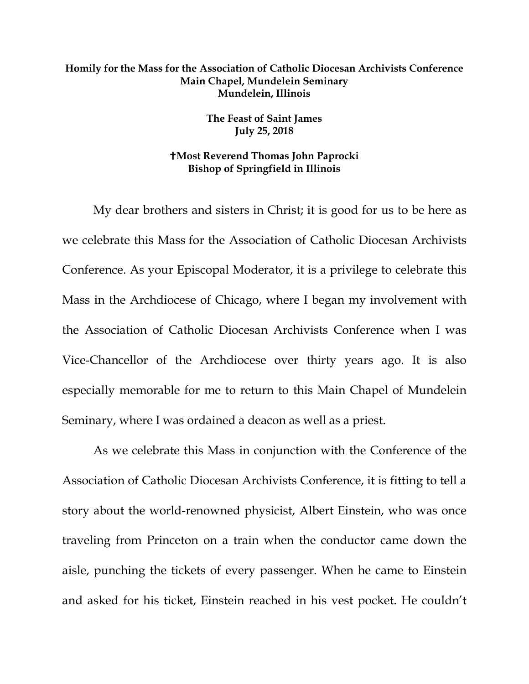## **Homily for the Mass for the Association of Catholic Diocesan Archivists Conference Main Chapel, Mundelein Seminary Mundelein, Illinois**

**The Feast of Saint James July 25, 2018**

## **Most Reverend Thomas John Paprocki Bishop of Springfield in Illinois**

My dear brothers and sisters in Christ; it is good for us to be here as we celebrate this Mass for the Association of Catholic Diocesan Archivists Conference. As your Episcopal Moderator, it is a privilege to celebrate this Mass in the Archdiocese of Chicago, where I began my involvement with the Association of Catholic Diocesan Archivists Conference when I was Vice-Chancellor of the Archdiocese over thirty years ago. It is also especially memorable for me to return to this Main Chapel of Mundelein Seminary, where I was ordained a deacon as well as a priest.

As we celebrate this Mass in conjunction with the Conference of the Association of Catholic Diocesan Archivists Conference, it is fitting to tell a story about the world-renowned physicist, Albert Einstein, who was once traveling from Princeton on a train when the conductor came down the aisle, punching the tickets of every passenger. When he came to Einstein and asked for his ticket, Einstein reached in his vest pocket. He couldn't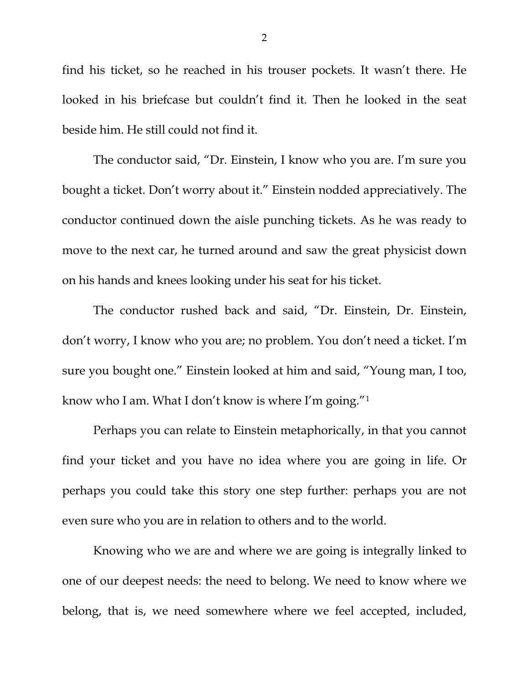find his ticket, so he reached in his trouser pockets. It wasn't there. He looked in his briefcase but couldn't find it. Then he looked in the seat beside him. He still could not find it.

The conductor said, "Dr. Einstein, I know who you are. I'm sure you bought a ticket. Don't worry about it." Einstein nodded appreciatively. The conductor continued down the aisle punching tickets. As he was ready to move to the next car, he turned around and saw the great physicist down on his hands and knees looking under his seat for his ticket.

The conductor rushed back and said, "Dr. Einstein, Dr. Einstein, don't worry, I know who you are; no problem. You don't need a ticket. I'm sure you bought one." Einstein looked at him and said, "Young man, I too, know who I am. What I don't know is where I'm going.["1](#page-2-0)

Perhaps you can relate to Einstein metaphorically, in that you cannot find your ticket and you have no idea where you are going in life. Or perhaps you could take this story one step further: perhaps you are not even sure who you are in relation to others and to the world.

Knowing who we are and where we are going is integrally linked to one of our deepest needs: the need to belong. We need to know where we belong, that is, we need somewhere where we feel accepted, included,

2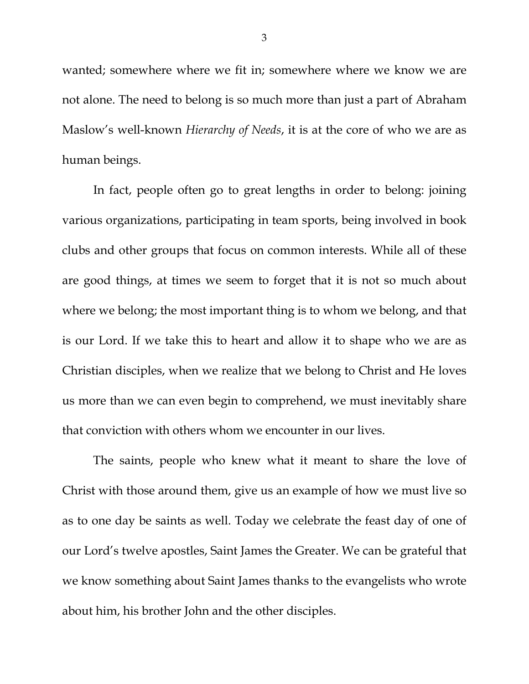wanted; somewhere where we fit in; somewhere where we know we are not alone. The need to belong is so much more than just a part of Abraham Maslow's well-known *Hierarchy of Needs*, it is at the core of who we are as human beings.

In fact, people often go to great lengths in order to belong: joining various organizations, participating in team sports, being involved in book clubs and other groups that focus on common interests. While all of these are good things, at times we seem to forget that it is not so much about where we belong; the most important thing is to whom we belong, and that is our Lord. If we take this to heart and allow it to shape who we are as Christian disciples, when we realize that we belong to Christ and He loves us more than we can even begin to comprehend, we must inevitably share that conviction with others whom we encounter in our lives.

<span id="page-2-0"></span>The saints, people who knew what it meant to share the love of Christ with those around them, give us an example of how we must live so as to one day be saints as well. Today we celebrate the feast day of one of our Lord's twelve apostles, Saint James the Greater. We can be grateful that we know something about Saint James thanks to the evangelists who wrote about him, his brother John and the other disciples.